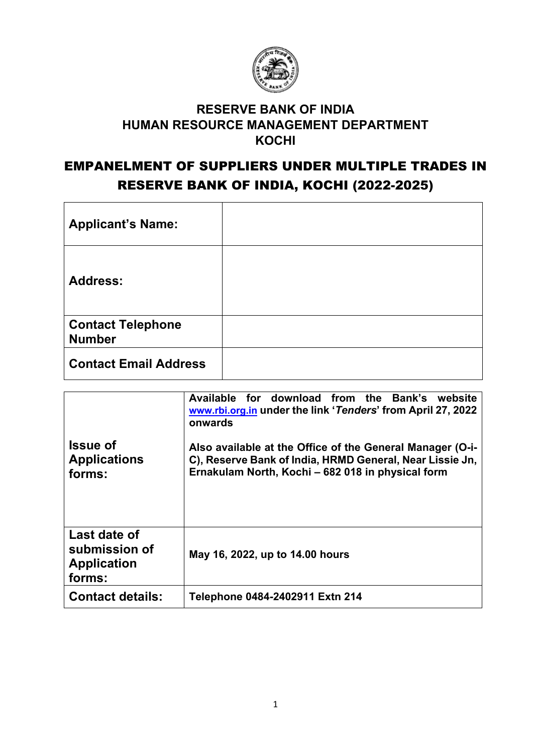

## **RESERVE BANK OF INDIA HUMAN RESOURCE MANAGEMENT DEPARTMENT KOCHI**

# EMPANELMENT OF SUPPLIERS UNDER MULTIPLE TRADES IN RESERVE BANK OF INDIA, KOCHI (2022-2025)

| <b>Applicant's Name:</b>                  |  |
|-------------------------------------------|--|
| <b>Address:</b>                           |  |
| <b>Contact Telephone</b><br><b>Number</b> |  |
| <b>Contact Email Address</b>              |  |

|                                                               | Available for download from the Bank's<br>website<br>www.rbi.org.in under the link 'Tenders' from April 27, 2022<br>onwards                                                |  |  |  |  |  |  |
|---------------------------------------------------------------|----------------------------------------------------------------------------------------------------------------------------------------------------------------------------|--|--|--|--|--|--|
| <b>Issue of</b><br><b>Applications</b><br>forms:              | Also available at the Office of the General Manager (O-i-<br>C), Reserve Bank of India, HRMD General, Near Lissie Jn,<br>Ernakulam North, Kochi - 682 018 in physical form |  |  |  |  |  |  |
| Last date of<br>submission of<br><b>Application</b><br>forms: | May 16, 2022, up to 14.00 hours                                                                                                                                            |  |  |  |  |  |  |
| <b>Contact details:</b>                                       | Telephone 0484-2402911 Extn 214                                                                                                                                            |  |  |  |  |  |  |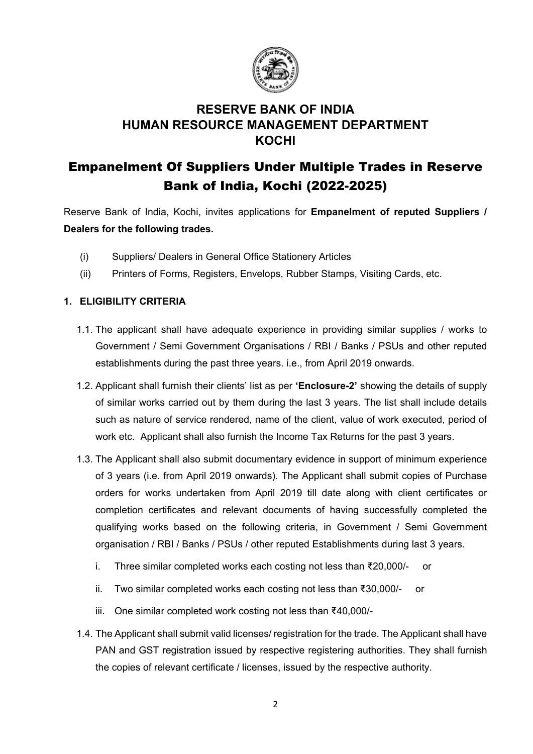

## **RESERVE BANK OF INDIA HUMAN RESOURCE MANAGEMENT DEPARTMENT KOCHI**

# Empanelment Of Suppliers Under Multiple Trades in Reserve Bank of India, Kochi (2022-2025)

Reserve Bank of India, Kochi, invites applications for **Empanelment of reputed Suppliers / Dealers for the following trades.**

- (i) Suppliers/ Dealers in General Office Stationery Articles
- (ii) Printers of Forms, Registers, Envelops, Rubber Stamps, Visiting Cards, etc.

#### **1. ELIGIBILITY CRITERIA**

- 1.1. The applicant shall have adequate experience in providing similar supplies / works to Government / Semi Government Organisations / RBI / Banks / PSUs and other reputed establishments during the past three years. i.e., from April 2019 onwards.
- 1.2. Applicant shall furnish their clients' list as per **'Enclosure-2'** showing the details of supply of similar works carried out by them during the last 3 years. The list shall include details such as nature of service rendered, name of the client, value of work executed, period of work etc. Applicant shall also furnish the Income Tax Returns for the past 3 years.
- 1.3. The Applicant shall also submit documentary evidence in support of minimum experience of 3 years (i.e. from April 2019 onwards). The Applicant shall submit copies of Purchase orders for works undertaken from April 2019 till date along with client certificates or completion certificates and relevant documents of having successfully completed the qualifying works based on the following criteria, in Government / Semi Government organisation / RBI / Banks / PSUs / other reputed Establishments during last 3 years.
	- i. Three similar completed works each costing not less than ₹20,000/- or
	- ii. Two similar completed works each costing not less than ₹30,000/- or
	- iii. One similar completed work costing not less than ₹40,000/-
- 1.4. The Applicant shall submit valid licenses/ registration for the trade. The Applicant shall have PAN and GST registration issued by respective registering authorities. They shall furnish the copies of relevant certificate / licenses, issued by the respective authority.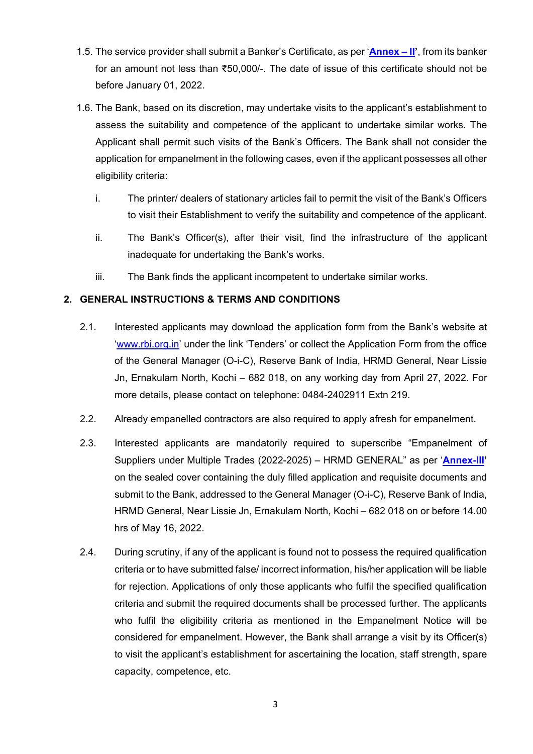- 1.5. The service provider shall submit a Banker's Certificate, as per '**[Annex –](#page-9-0) II'**, from its banker for an amount not less than ₹50,000/-. The date of issue of this certificate should not be before January 01, 2022.
- 1.6. The Bank, based on its discretion, may undertake visits to the applicant's establishment to assess the suitability and competence of the applicant to undertake similar works. The Applicant shall permit such visits of the Bank's Officers. The Bank shall not consider the application for empanelment in the following cases, even if the applicant possesses all other eligibility criteria:
	- i. The printer/ dealers of stationary articles fail to permit the visit of the Bank's Officers to visit their Establishment to verify the suitability and competence of the applicant.
	- ii. The Bank's Officer(s), after their visit, find the infrastructure of the applicant inadequate for undertaking the Bank's works.
	- iii. The Bank finds the applicant incompetent to undertake similar works.

#### **2. GENERAL INSTRUCTIONS & TERMS AND CONDITIONS**

- 2.1. Interested applicants may download the application form from the Bank's website at ['www.rbi.org.in'](https://www.rbi.org.in/) under the link 'Tenders' or collect the Application Form from the office of the General Manager (O-i-C), Reserve Bank of India, HRMD General, Near Lissie Jn, Ernakulam North, Kochi – 682 018, on any working day from April 27, 2022. For more details, please contact on telephone: 0484-2402911 Extn 219.
- 2.2. Already empanelled contractors are also required to apply afresh for empanelment.
- 2.3. Interested applicants are mandatorily required to superscribe "Empanelment of Suppliers under Multiple Trades (2022-2025) – HRMD GENERAL" as per '**[Annex-III'](#page-10-0)** on the sealed cover containing the duly filled application and requisite documents and submit to the Bank, addressed to the General Manager (O-i-C), Reserve Bank of India, HRMD General, Near Lissie Jn, Ernakulam North, Kochi – 682 018 on or before 14.00 hrs of May 16, 2022.
- 2.4. During scrutiny, if any of the applicant is found not to possess the required qualification criteria or to have submitted false/ incorrect information, his/her application will be liable for rejection. Applications of only those applicants who fulfil the specified qualification criteria and submit the required documents shall be processed further. The applicants who fulfil the eligibility criteria as mentioned in the Empanelment Notice will be considered for empanelment. However, the Bank shall arrange a visit by its Officer(s) to visit the applicant's establishment for ascertaining the location, staff strength, spare capacity, competence, etc.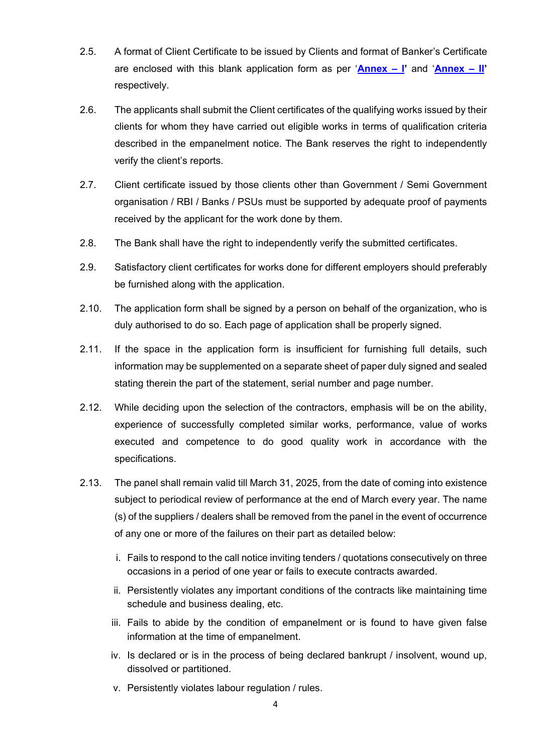- 2.5. A format of Client Certificate to be issued by Clients and format of Banker's Certificate are enclosed with this blank application form as per '**[Annex –](#page-8-0) I'** and '**[Annex –](#page-9-0) II'** respectively.
- 2.6. The applicants shall submit the Client certificates of the qualifying works issued by their clients for whom they have carried out eligible works in terms of qualification criteria described in the empanelment notice. The Bank reserves the right to independently verify the client's reports.
- 2.7. Client certificate issued by those clients other than Government / Semi Government organisation / RBI / Banks / PSUs must be supported by adequate proof of payments received by the applicant for the work done by them.
- 2.8. The Bank shall have the right to independently verify the submitted certificates.
- 2.9. Satisfactory client certificates for works done for different employers should preferably be furnished along with the application.
- 2.10. The application form shall be signed by a person on behalf of the organization, who is duly authorised to do so. Each page of application shall be properly signed.
- 2.11. If the space in the application form is insufficient for furnishing full details, such information may be supplemented on a separate sheet of paper duly signed and sealed stating therein the part of the statement, serial number and page number.
- 2.12. While deciding upon the selection of the contractors, emphasis will be on the ability, experience of successfully completed similar works, performance, value of works executed and competence to do good quality work in accordance with the specifications.
- 2.13. The panel shall remain valid till March 31, 2025, from the date of coming into existence subject to periodical review of performance at the end of March every year. The name (s) of the suppliers / dealers shall be removed from the panel in the event of occurrence of any one or more of the failures on their part as detailed below:
	- i. Fails to respond to the call notice inviting tenders / quotations consecutively on three occasions in a period of one year or fails to execute contracts awarded.
	- ii. Persistently violates any important conditions of the contracts like maintaining time schedule and business dealing, etc.
	- iii. Fails to abide by the condition of empanelment or is found to have given false information at the time of empanelment.
	- iv. Is declared or is in the process of being declared bankrupt / insolvent, wound up, dissolved or partitioned.
	- v. Persistently violates labour regulation / rules.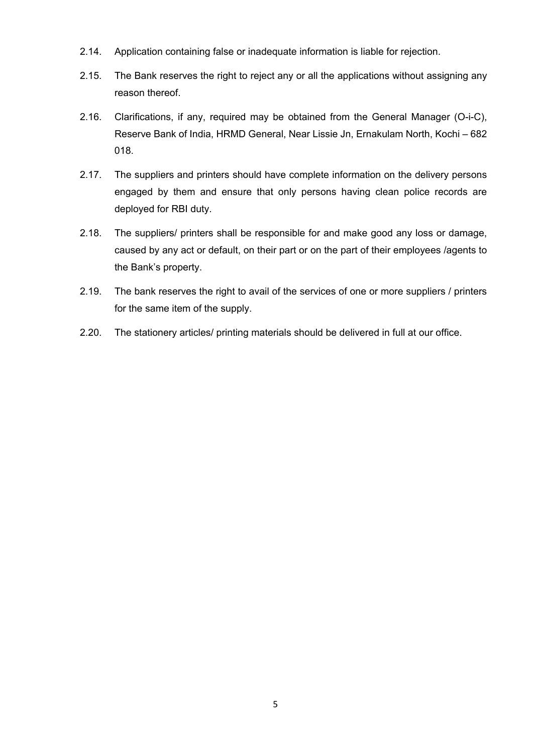- 2.14. Application containing false or inadequate information is liable for rejection.
- 2.15. The Bank reserves the right to reject any or all the applications without assigning any reason thereof.
- 2.16. Clarifications, if any, required may be obtained from the General Manager (O-i-C), Reserve Bank of India, HRMD General, Near Lissie Jn, Ernakulam North, Kochi – 682 018.
- 2.17. The suppliers and printers should have complete information on the delivery persons engaged by them and ensure that only persons having clean police records are deployed for RBI duty.
- 2.18. The suppliers/ printers shall be responsible for and make good any loss or damage, caused by any act or default, on their part or on the part of their employees /agents to the Bank's property.
- 2.19. The bank reserves the right to avail of the services of one or more suppliers / printers for the same item of the supply.
- 2.20. The stationery articles/ printing materials should be delivered in full at our office.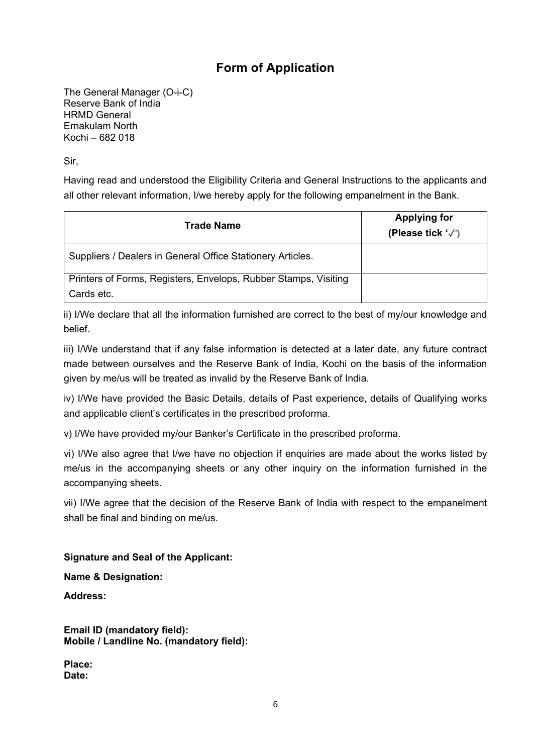## **Form of Application**

The General Manager (O-i-C) Reserve Bank of India HRMD General Ernakulam North Kochi – 682 018

Sir,

Having read and understood the Eligibility Criteria and General Instructions to the applicants and all other relevant information, I/we hereby apply for the following empanelment in the Bank.

| <b>Trade Name</b>                                               | <b>Applying for</b><br>(Please tick '√') |
|-----------------------------------------------------------------|------------------------------------------|
| Suppliers / Dealers in General Office Stationery Articles.      |                                          |
| Printers of Forms, Registers, Envelops, Rubber Stamps, Visiting |                                          |
| Cards etc.                                                      |                                          |

ii) I/We declare that all the information furnished are correct to the best of my/our knowledge and belief.

iii) I/We understand that if any false information is detected at a later date, any future contract made between ourselves and the Reserve Bank of India, Kochi on the basis of the information given by me/us will be treated as invalid by the Reserve Bank of India.

iv) I/We have provided the Basic Details, details of Past experience, details of Qualifying works and applicable client's certificates in the prescribed proforma.

v) I/We have provided my/our Banker's Certificate in the prescribed proforma.

vi) I/We also agree that I/we have no objection if enquiries are made about the works listed by me/us in the accompanying sheets or any other inquiry on the information furnished in the accompanying sheets.

vii) I/We agree that the decision of the Reserve Bank of India with respect to the empanelment shall be final and binding on me/us.

#### **Signature and Seal of the Applicant:**

**Name & Designation:** 

**Address:**

**Email ID (mandatory field): Mobile / Landline No. (mandatory field):**

**Place: Date:**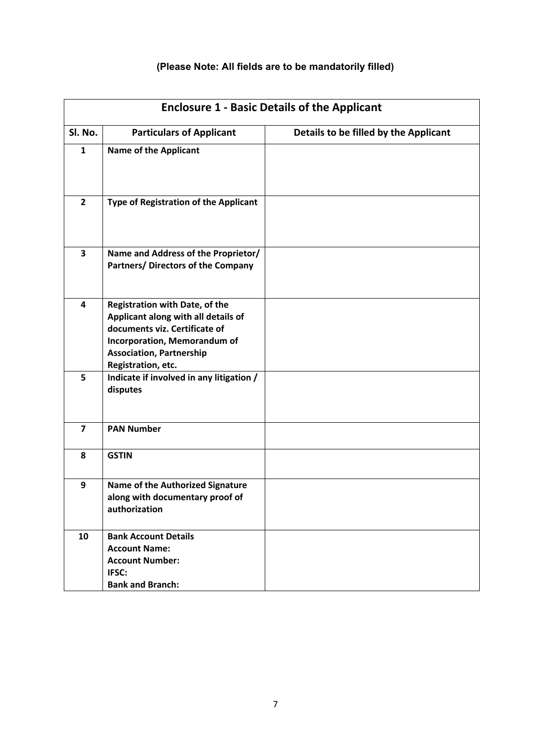# **Enclosure 1 - Basic Details of the Applicant Sl. No. Particulars of Applicant Details to be filled by the Applicant 1 Name of the Applicant 2 Type of Registration of the Applicant 3 Name and Address of the Proprietor/ Partners/ Directors of the Company 4 Registration with Date, of the Applicant along with all details of documents viz. Certificate of Incorporation, Memorandum of Association, Partnership Registration, etc. 5 Indicate if involved in any litigation / disputes 7 PAN Number 8 GSTIN 9 Name of the Authorized Signature along with documentary proof of authorization 10 Bank Account Details Account Name: Account Number: IFSC: Bank and Branch:**

#### **(Please Note: All fields are to be mandatorily filled)**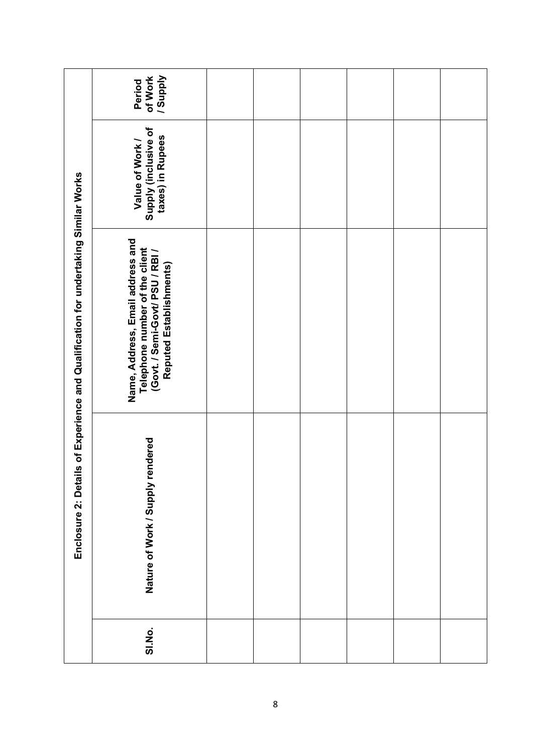|                                                                                    | of Work<br>/Supply<br>Period                                                                                                     |  |  |  |
|------------------------------------------------------------------------------------|----------------------------------------------------------------------------------------------------------------------------------|--|--|--|
| Enclosure 2: Details of Experience and Qualification for undertaking Similar Works | Supply (inclusive of<br>taxes) in Rupees<br>Value of Work /                                                                      |  |  |  |
|                                                                                    | Name, Address, Email address and<br>Telephone number of the client<br>(Govt. / Semi-Govt/ PSU / RBI /<br>Reputed Establishments) |  |  |  |
|                                                                                    | Nature of Work / Supply rendered                                                                                                 |  |  |  |
|                                                                                    | SI.No.                                                                                                                           |  |  |  |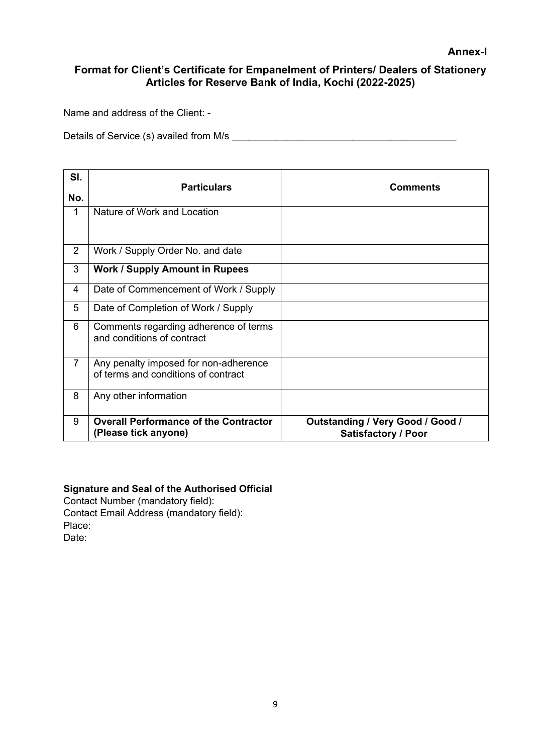#### **Annex-I**

### <span id="page-8-0"></span>**Format for Client's Certificate for Empanelment of Printers/ Dealers of Stationery Articles for Reserve Bank of India, Kochi (2022-2025)**

Name and address of the Client: -

Details of Service (s) availed from M/s \_\_\_\_\_\_\_\_\_\_\_\_\_\_\_\_\_\_\_\_\_\_\_\_\_\_\_\_\_\_\_\_\_\_\_\_\_\_\_\_\_

| SI.            | <b>Particulars</b>                                                           | <b>Comments</b>                                                       |
|----------------|------------------------------------------------------------------------------|-----------------------------------------------------------------------|
| No.            |                                                                              |                                                                       |
| 1              | Nature of Work and Location                                                  |                                                                       |
| $\overline{2}$ | Work / Supply Order No. and date                                             |                                                                       |
| 3              | <b>Work / Supply Amount in Rupees</b>                                        |                                                                       |
| 4              | Date of Commencement of Work / Supply                                        |                                                                       |
| 5              | Date of Completion of Work / Supply                                          |                                                                       |
| 6              | Comments regarding adherence of terms<br>and conditions of contract          |                                                                       |
| $\overline{7}$ | Any penalty imposed for non-adherence<br>of terms and conditions of contract |                                                                       |
| 8              | Any other information                                                        |                                                                       |
| 9              | <b>Overall Performance of the Contractor</b><br>(Please tick anyone)         | <b>Outstanding / Very Good / Good /</b><br><b>Satisfactory / Poor</b> |

#### **Signature and Seal of the Authorised Official**

Contact Number (mandatory field):

Contact Email Address (mandatory field): Place:

Date: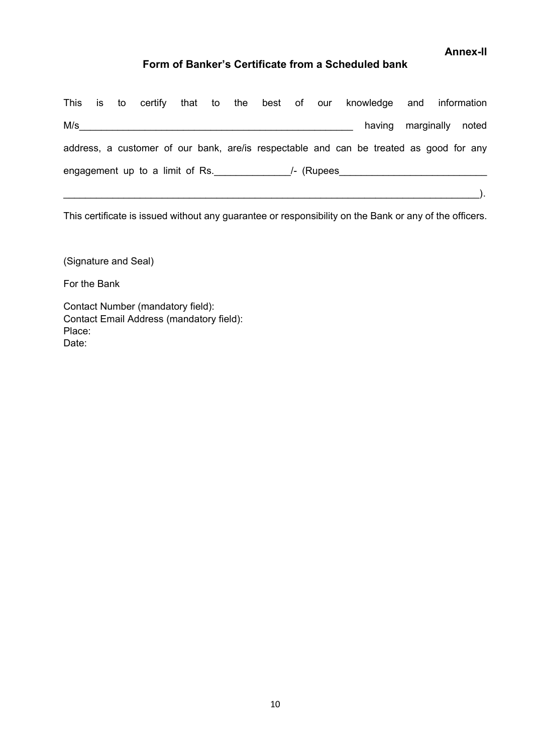#### **Annex-II**

#### **Form of Banker's Certificate from a Scheduled bank**

<span id="page-9-0"></span>

|     |  | This is to certify that to the best of our knowledge and information                   |  |  |            |  |  |                         |  |
|-----|--|----------------------------------------------------------------------------------------|--|--|------------|--|--|-------------------------|--|
| M/s |  |                                                                                        |  |  |            |  |  | having marginally noted |  |
|     |  | address, a customer of our bank, are/is respectable and can be treated as good for any |  |  |            |  |  |                         |  |
|     |  | engagement up to a limit of Rs.                                                        |  |  | /- (Rupees |  |  |                         |  |

This certificate is issued without any guarantee or responsibility on the Bank or any of the officers.

\_\_\_\_\_\_\_\_\_\_\_\_\_\_\_\_\_\_\_\_\_\_\_\_\_\_\_\_\_\_\_\_\_\_\_\_\_\_\_\_\_\_\_\_\_\_\_\_\_\_\_\_\_\_\_\_\_\_\_\_\_\_\_\_\_\_\_\_\_\_\_\_\_\_\_\_).

(Signature and Seal)

For the Bank

Contact Number (mandatory field): Contact Email Address (mandatory field): Place: Date: